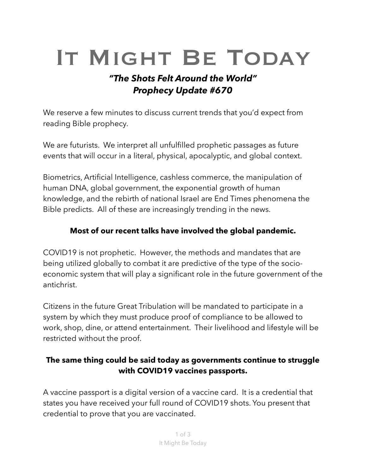# IT MIGHT BE TODAY

## *"The Shots Felt Around the World" Prophecy Update #670*

We reserve a few minutes to discuss current trends that you'd expect from reading Bible prophecy.

We are futurists. We interpret all unfulfilled prophetic passages as future events that will occur in a literal, physical, apocalyptic, and global context.

Biometrics, Artificial Intelligence, cashless commerce, the manipulation of human DNA, global government, the exponential growth of human knowledge, and the rebirth of national Israel are End Times phenomena the Bible predicts. All of these are increasingly trending in the news.

## **Most of our recent talks have involved the global pandemic.**

COVID19 is not prophetic. However, the methods and mandates that are being utilized globally to combat it are predictive of the type of the socioeconomic system that will play a significant role in the future government of the antichrist.

Citizens in the future Great Tribulation will be mandated to participate in a system by which they must produce proof of compliance to be allowed to work, shop, dine, or attend entertainment. Their livelihood and lifestyle will be restricted without the proof.

## **The same thing could be said today as governments continue to struggle with COVID19 vaccines passports.**

A vaccine passport is a digital version of a vaccine card. It is a credential that states you have received your full round of COVID19 shots. You present that credential to prove that you are vaccinated.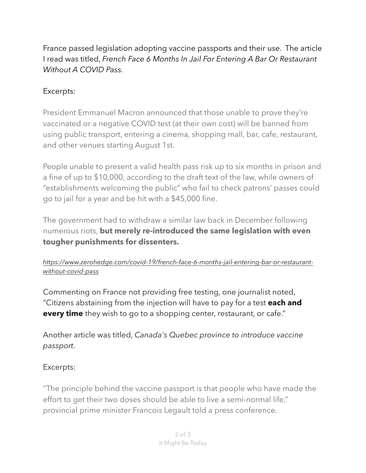France passed legislation adopting vaccine passports and their use. The article I read was titled, *French Face 6 Months In Jail For Entering A Bar Or Restaurant Without A COVID Pass.* 

## Excerpts:

President Emmanuel Macron announced that those unable to prove they're vaccinated or a negative COVID test (at their own cost) will be banned from using public transport, entering a cinema, shopping mall, bar, cafe, restaurant, and other venues starting August 1st.

People unable to present a valid health pass risk up to six months in prison and a fine of up to \$10,000, according to the draft text of the law, while owners of "establishments welcoming the public" who fail to check patrons' passes could go to jail for a year and be hit with a \$45,000 fine.

The government had to withdraw a similar law back in December following numerous riots, **but merely re-introduced the same legislation with even tougher punishments for dissenters.**

#### *[https://www.zerohedge.com/covid-19/french-face-6-months-jail-entering-bar-or-restaurant](https://www.zerohedge.com/covid-19/french-face-6-months-jail-entering-bar-or-restaurant-without-covid-pass)[without-covid-pass](https://www.zerohedge.com/covid-19/french-face-6-months-jail-entering-bar-or-restaurant-without-covid-pass)*

Commenting on France not providing free testing, one journalist noted, "Citizens abstaining from the injection will have to pay for a test **each and every time** they wish to go to a shopping center, restaurant, or cafe."

Another article was titled, *Canada's Quebec province to introduce vaccine passport.*

## Excerpts:

"The principle behind the vaccine passport is that people who have made the effort to get their two doses should be able to live a semi-normal life," provincial prime minister Francois Legault told a press conference.